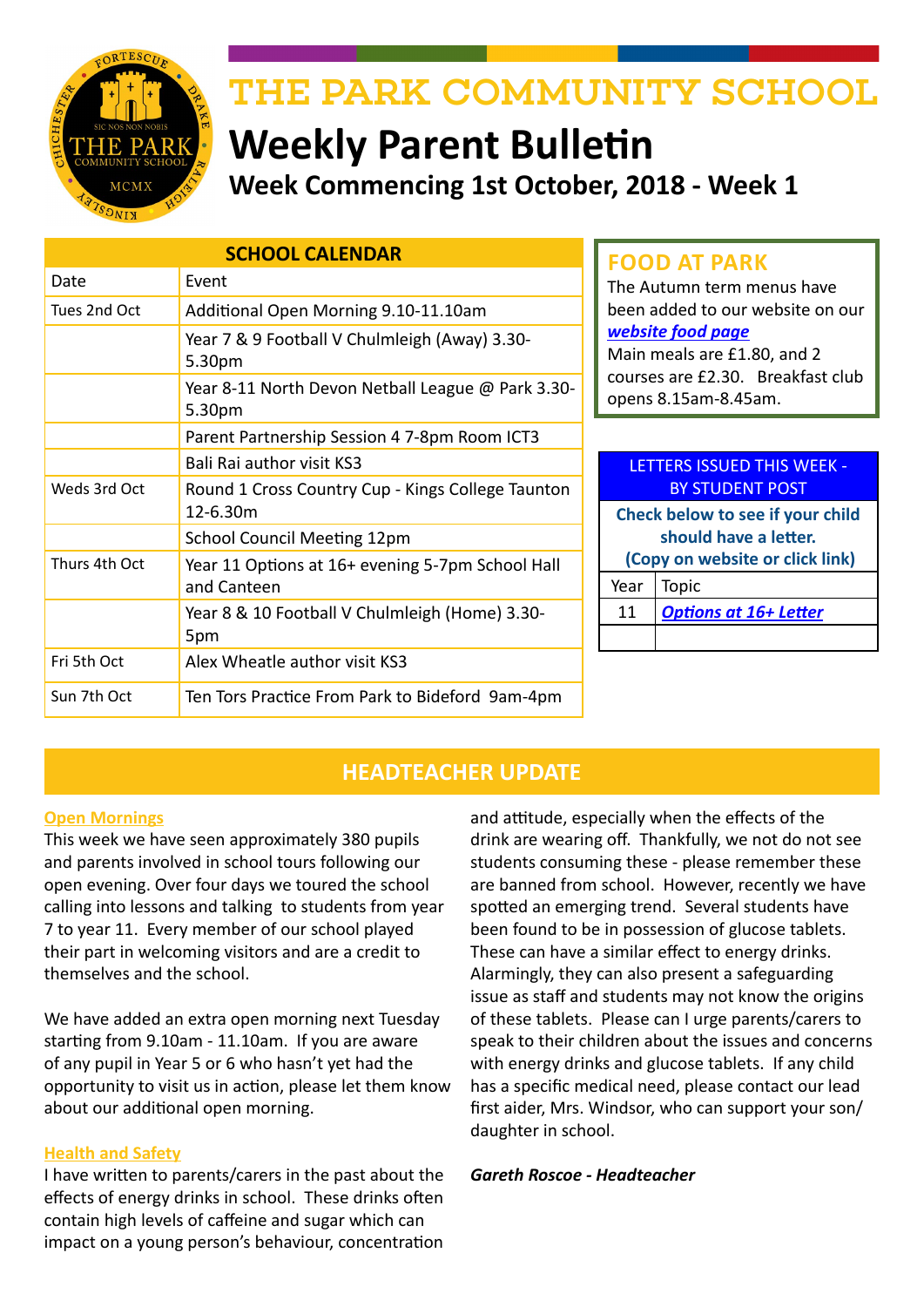

# THE PARK COMMUNITY SCHOOL

# **Weekly Parent Bulletin Week Commencing 1st October, 2018 - Week 1**

| <b>SCHOOL CALENDAR</b> |                                                             |                                                                                                                                                   | <b>FOOD AT PARK</b>               |
|------------------------|-------------------------------------------------------------|---------------------------------------------------------------------------------------------------------------------------------------------------|-----------------------------------|
| Date                   | Event                                                       |                                                                                                                                                   | The Autumn term menus have        |
| Tues 2nd Oct           | Additional Open Morning 9.10-11.10am                        | been added to our website on our<br>website food page<br>Main meals are £1.80, and 2<br>courses are £2.30. Breakfast club<br>opens 8.15am-8.45am. |                                   |
|                        | Year 7 & 9 Football V Chulmleigh (Away) 3.30-<br>5.30pm     |                                                                                                                                                   |                                   |
|                        | Year 8-11 North Devon Netball League @ Park 3.30-<br>5.30pm |                                                                                                                                                   |                                   |
|                        | Parent Partnership Session 4 7-8pm Room ICT3                |                                                                                                                                                   |                                   |
|                        | Bali Rai author visit KS3                                   |                                                                                                                                                   | <b>LETTERS ISSUED THIS WEEK -</b> |
| Weds 3rd Oct           | Round 1 Cross Country Cup - Kings College Taunton           |                                                                                                                                                   | <b>BY STUDENT POST</b>            |
|                        | 12-6.30m                                                    | Check below to see if your child<br>should have a letter.<br>(Copy on website or click link)                                                      |                                   |
|                        | School Council Meeting 12pm                                 |                                                                                                                                                   |                                   |
| Thurs 4th Oct          | Year 11 Options at 16+ evening 5-7pm School Hall            |                                                                                                                                                   |                                   |
|                        | and Canteen                                                 | Year                                                                                                                                              | <b>Topic</b>                      |
|                        | Year 8 & 10 Football V Chulmleigh (Home) 3.30-              | 11                                                                                                                                                | <b>Options at 16+ Letter</b>      |
|                        | 5pm                                                         |                                                                                                                                                   |                                   |
| Fri 5th Oct            | Alex Wheatle author visit KS3                               |                                                                                                                                                   |                                   |
| Sun 7th Oct            | Ten Tors Practice From Park to Bideford 9am-4pm             |                                                                                                                                                   |                                   |

# **HEADTEACHER UPDATE**

### **Open Mornings**

This week we have seen approximately 380 pupils and parents involved in school tours following our open evening. Over four days we toured the school calling into lessons and talking to students from year 7 to year 11. Every member of our school played their part in welcoming visitors and are a credit to themselves and the school.

We have added an extra open morning next Tuesday starting from 9.10am - 11.10am. If you are aware of any pupil in Year 5 or 6 who hasn't yet had the opportunity to visit us in action, please let them know about our additional open morning.

### **Health and Safety**

I have written to parents/carers in the past about the effects of energy drinks in school. These drinks often contain high levels of caffeine and sugar which can impact on a young person's behaviour, concentration

and attitude, especially when the effects of the drink are wearing off. Thankfully, we not do not see students consuming these - please remember these are banned from school. However, recently we have spotted an emerging trend. Several students have been found to be in possession of glucose tablets. These can have a similar effect to energy drinks. Alarmingly, they can also present a safeguarding issue as staff and students may not know the origins of these tablets. Please can I urge parents/carers to speak to their children about the issues and concerns with energy drinks and glucose tablets. If any child has a specific medical need, please contact our lead first aider, Mrs. Windsor, who can support your son/ daughter in school.

### *Gareth Roscoe - Headteacher*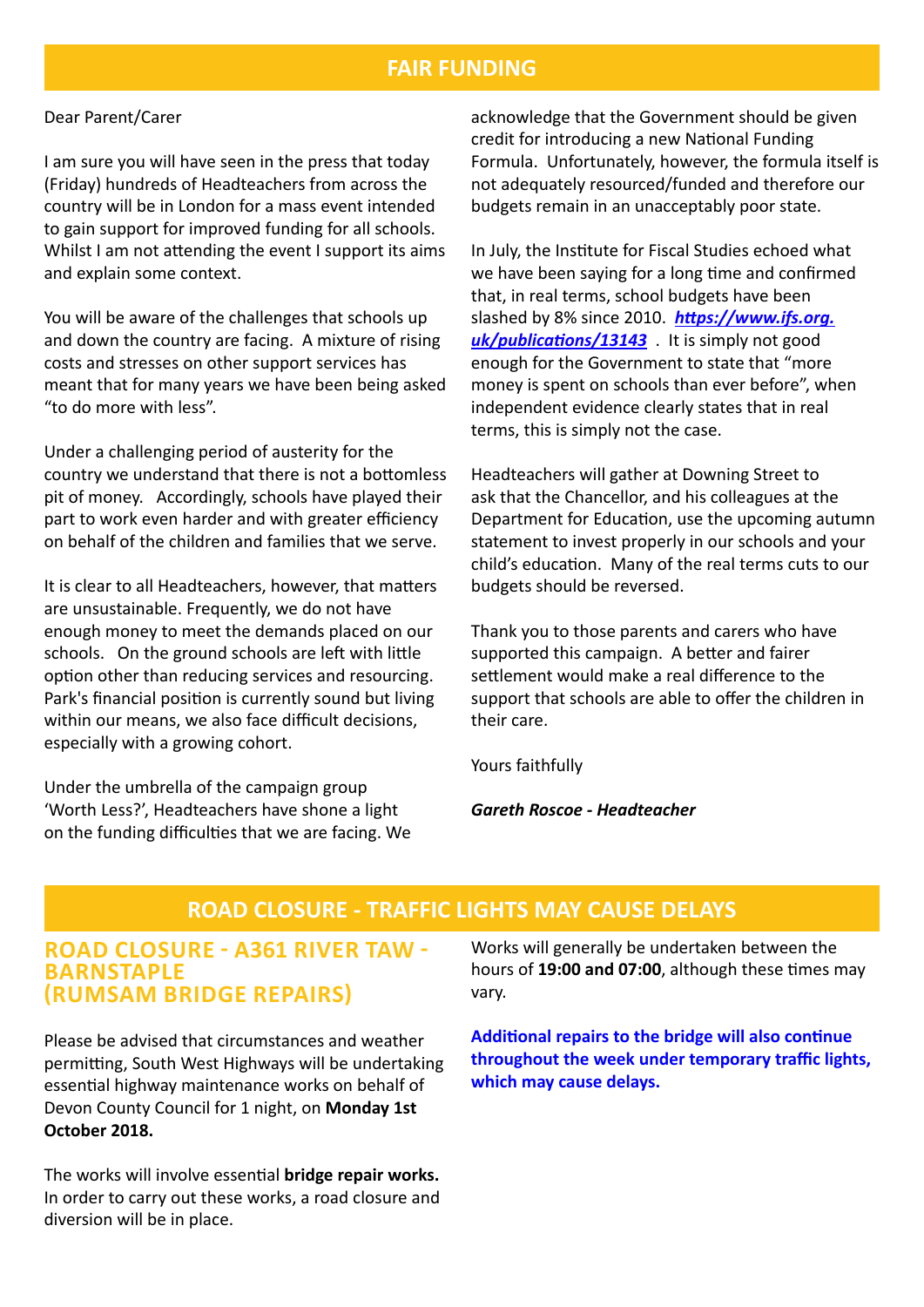## **FAIR FUNDING**

#### Dear Parent/Carer

I am sure you will have seen in the press that today (Friday) hundreds of Headteachers from across the country will be in London for a mass event intended to gain support for improved funding for all schools. Whilst I am not attending the event I support its aims and explain some context.

You will be aware of the challenges that schools up and down the country are facing. A mixture of rising costs and stresses on other support services has meant that for many years we have been being asked "to do more with less".

Under a challenging period of austerity for the country we understand that there is not a bottomless pit of money. Accordingly, schools have played their part to work even harder and with greater efficiency on behalf of the children and families that we serve.

It is clear to all Headteachers, however, that matters are unsustainable. Frequently, we do not have enough money to meet the demands placed on our schools. On the ground schools are left with little option other than reducing services and resourcing. Park's financial position is currently sound but living within our means, we also face difficult decisions, especially with a growing cohort.

Under the umbrella of the campaign group 'Worth Less?', Headteachers have shone a light on the funding difficulties that we are facing. We acknowledge that the Government should be given credit for introducing a new National Funding Formula. Unfortunately, however, the formula itself is not adequately resourced/funded and therefore our budgets remain in an unacceptably poor state.

In July, the Institute for Fiscal Studies echoed what we have been saying for a long time and confirmed that, in real terms, school budgets have been slashed by 8% since 2010. *[https://www.ifs.org.](https://www.ifs.org.uk/publications/13143) [uk/publications/13143](https://www.ifs.org.uk/publications/13143)* . It is simply not good enough for the Government to state that "more money is spent on schools than ever before", when independent evidence clearly states that in real terms, this is simply not the case.

Headteachers will gather at Downing Street to ask that the Chancellor, and his colleagues at the Department for Education, use the upcoming autumn statement to invest properly in our schools and your child's education. Many of the real terms cuts to our budgets should be reversed.

Thank you to those parents and carers who have supported this campaign. A better and fairer settlement would make a real difference to the support that schools are able to offer the children in their care.

Yours faithfully

*Gareth Roscoe - Headteacher*

## **ROAD CLOSURE - TRAFFIC LIGHTS MAY CAUSE DELAYS**

### **ROAD CLOSURE - A361 RIVER TAW - BARNSTAPLE (RUMSAM BRIDGE REPAIRS)**

Please be advised that circumstances and weather permitting, South West Highways will be undertaking essential highway maintenance works on behalf of Devon County Council for 1 night, on **Monday 1st October 2018.** 

The works will involve essential **bridge repair works.**  In order to carry out these works, a road closure and diversion will be in place.

Works will generally be undertaken between the hours of **19:00 and 07:00**, although these times may vary.

**Additional repairs to the bridge will also continue throughout the week under temporary traffic lights, which may cause delays.**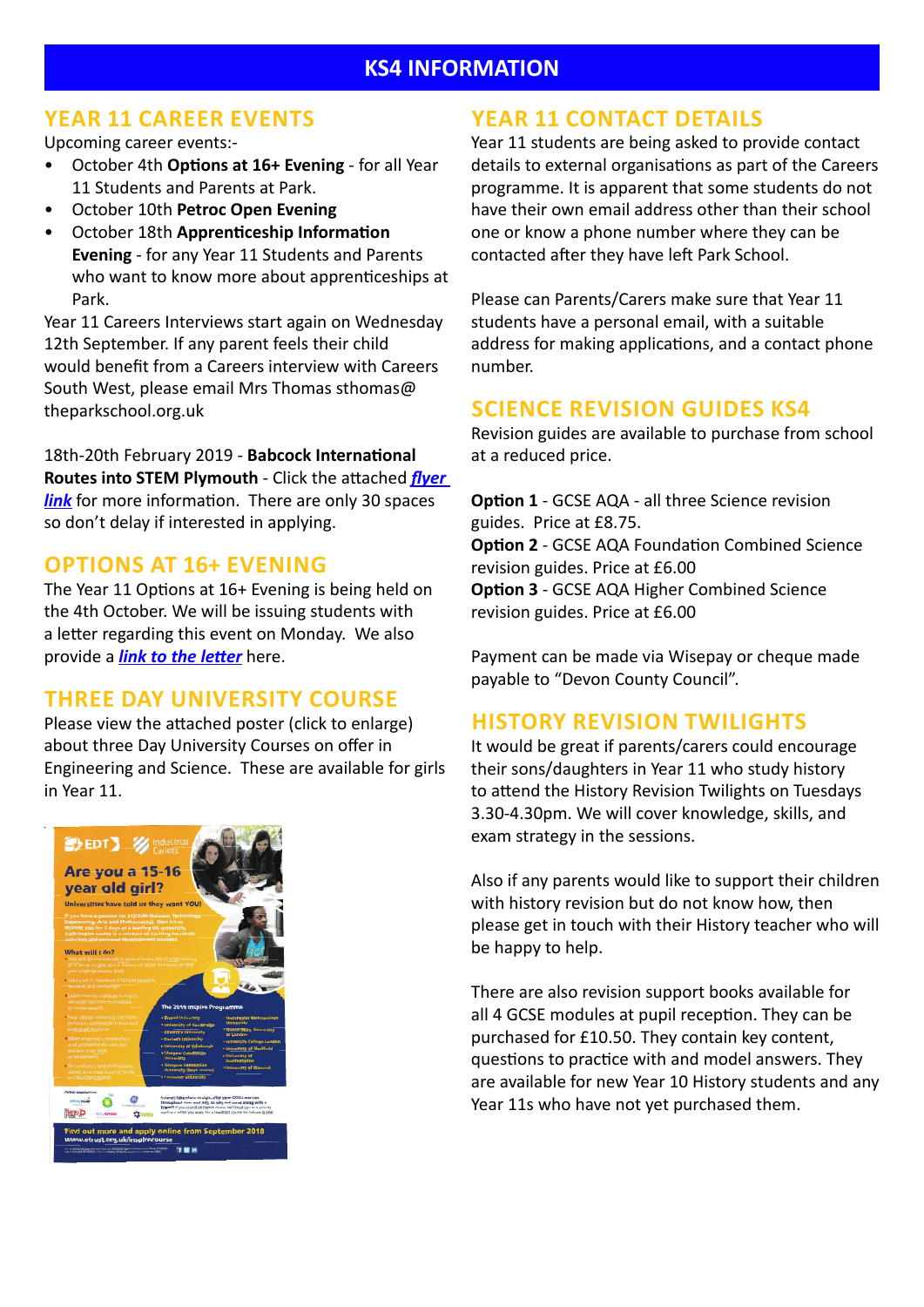# **KS4 INFORMATION**

# **YEAR 11 CAREER EVENTS**

Upcoming career events:-

- October 4th **Options at 16+ Evening** for all Year 11 Students and Parents at Park.
- October 10th **Petroc Open Evening**
- October 18th **Apprenticeship Information Evening** - for any Year 11 Students and Parents who want to know more about apprenticeships at Park.

Year 11 Careers Interviews start again on Wednesday 12th September. If any parent feels their child would benefit from a Careers interview with Careers South West, please email Mrs Thomas sthomas@ theparkschool.org.uk

18th-20th February 2019 - **Babcock International Routes into STEM Plymouth** - Click the attached *[flyer](http://www.theparkschool.org.uk/sites/default/files/Babcock%20STEM%20HALF%20TERM%202019.pdf)  [link](http://www.theparkschool.org.uk/sites/default/files/Babcock%20STEM%20HALF%20TERM%202019.pdf)* for more information. There are only 30 spaces so don't delay if interested in applying.

# **OPTIONS AT 16+ EVENING**

The Year 11 Options at 16+ Evening is being held on the 4th October. We will be issuing students with a letter regarding this event on Monday. We also provide a *[link to the letter](http://www.theparkschool.org.uk/sites/default/files/Invite-to-Options-at-16%2BEvening.pdf)* here.

## **THREE DAY UNIVERSITY COURSE**

Please view the attached poster (click to enlarge) about three Day University Courses on offer in Engineering and Science. These are available for girls in Year 11.



# **YEAR 11 CONTACT DETAILS**

Year 11 students are being asked to provide contact details to external organisations as part of the Careers programme. It is apparent that some students do not have their own email address other than their school one or know a phone number where they can be contacted after they have left Park School.

Please can Parents/Carers make sure that Year 11 students have a personal email, with a suitable address for making applications, and a contact phone number.

# **SCIENCE REVISION GUIDES KS4**

Revision guides are available to purchase from school at a reduced price.

**Option 1** - GCSE AQA - all three Science revision guides. Price at £8.75. **Option 2** - GCSE AQA Foundation Combined Science revision guides. Price at £6.00 **Option 3** - GCSE AQA Higher Combined Science revision guides. Price at £6.00

Payment can be made via Wisepay or cheque made payable to "Devon County Council".

# **HISTORY REVISION TWILIGHTS**

It would be great if parents/carers could encourage their sons/daughters in Year 11 who study history to attend the History Revision Twilights on Tuesdays 3.30-4.30pm. We will cover knowledge, skills, and exam strategy in the sessions.

Also if any parents would like to support their children with history revision but do not know how, then please get in touch with their History teacher who will be happy to help.

There are also revision support books available for all 4 GCSE modules at pupil reception. They can be purchased for £10.50. They contain key content, questions to practice with and model answers. They are available for new Year 10 History students and any Year 11s who have not yet purchased them.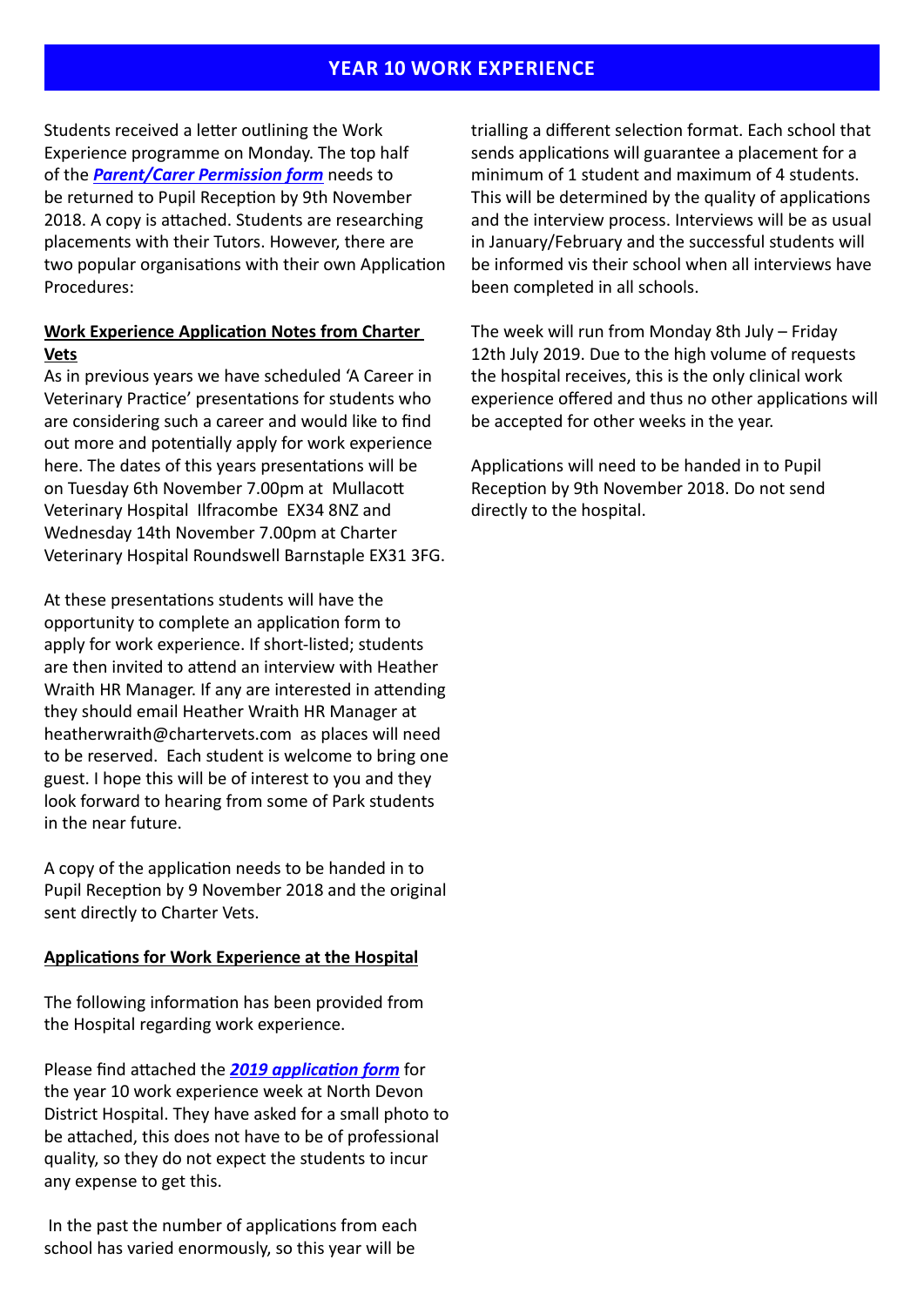## **YEAR 10 WORK EXPERIENCE**

Students received a letter outlining the Work Experience programme on Monday. The top half of the *[Parent/Carer Permission form](http://www.theparkschool.org.uk/sites/default/files/Work-Experience-Form.pdf)* needs to be returned to Pupil Reception by 9th November 2018. A copy is attached. Students are researching placements with their Tutors. However, there are two popular organisations with their own Application Procedures:

### **Work Experience Application Notes from Charter Vets**

As in previous years we have scheduled 'A Career in Veterinary Practice' presentations for students who are considering such a career and would like to find out more and potentially apply for work experience here. The dates of this years presentations will be on Tuesday 6th November 7.00pm at Mullacott Veterinary Hospital Ilfracombe EX34 8NZ and Wednesday 14th November 7.00pm at Charter Veterinary Hospital Roundswell Barnstaple EX31 3FG.

At these presentations students will have the opportunity to complete an application form to apply for work experience. If short-listed; students are then invited to attend an interview with Heather Wraith HR Manager. If any are interested in attending they should email Heather Wraith HR Manager at heatherwraith@chartervets.com as places will need to be reserved. Each student is welcome to bring one guest. I hope this will be of interest to you and they look forward to hearing from some of Park students in the near future.

A copy of the application needs to be handed in to Pupil Reception by 9 November 2018 and the original sent directly to Charter Vets.

#### **Applications for Work Experience at the Hospital**

The following information has been provided from the Hospital regarding work experience.

Please find attached the *[2019 application form](http://www.theparkschool.org.uk/sites/default/files/2019-Hospital-Application-form-Work-Experience.pdf)* for the year 10 work experience week at North Devon District Hospital. They have asked for a small photo to be attached, this does not have to be of professional quality, so they do not expect the students to incur any expense to get this.

 In the past the number of applications from each school has varied enormously, so this year will be

trialling a different selection format. Each school that sends applications will guarantee a placement for a minimum of 1 student and maximum of 4 students. This will be determined by the quality of applications and the interview process. Interviews will be as usual in January/February and the successful students will be informed vis their school when all interviews have been completed in all schools.

The week will run from Monday 8th July – Friday 12th July 2019. Due to the high volume of requests the hospital receives, this is the only clinical work experience offered and thus no other applications will be accepted for other weeks in the year.

Applications will need to be handed in to Pupil Reception by 9th November 2018. Do not send directly to the hospital.